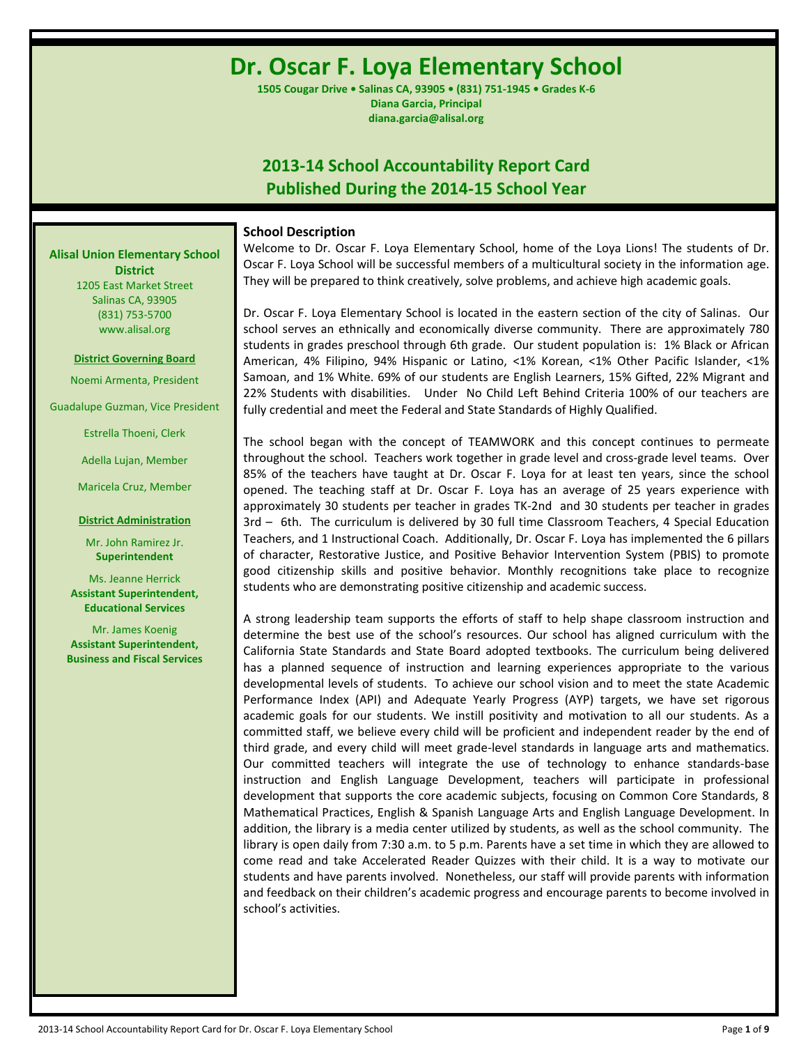**Dr. Oscar F. Loya Elementary School**

**1505 Cougar Drive • Salinas CA, 93905 • (831) 751-1945 • Grades K-6 Diana Garcia, Principal diana.garcia@alisal.org**

# **2013-14 School Accountability Report Card Published During the 2014-15 School Year**

## **School Description**

Welcome to Dr. Oscar F. Loya Elementary School, home of the Loya Lions! The students of Dr. Oscar F. Loya School will be successful members of a multicultural society in the information age. They will be prepared to think creatively, solve problems, and achieve high academic goals.

Dr. Oscar F. Loya Elementary School is located in the eastern section of the city of Salinas. Our school serves an ethnically and economically diverse community. There are approximately 780 students in grades preschool through 6th grade. Our student population is: 1% Black or African American, 4% Filipino, 94% Hispanic or Latino, <1% Korean, <1% Other Pacific Islander, <1% Samoan, and 1% White. 69% of our students are English Learners, 15% Gifted, 22% Migrant and 22% Students with disabilities. Under No Child Left Behind Criteria 100% of our teachers are fully credential and meet the Federal and State Standards of Highly Qualified.

The school began with the concept of TEAMWORK and this concept continues to permeate throughout the school. Teachers work together in grade level and cross-grade level teams. Over 85% of the teachers have taught at Dr. Oscar F. Loya for at least ten years, since the school opened. The teaching staff at Dr. Oscar F. Loya has an average of 25 years experience with approximately 30 students per teacher in grades TK-2nd and 30 students per teacher in grades 3rd – 6th. The curriculum is delivered by 30 full time Classroom Teachers, 4 Special Education Teachers, and 1 Instructional Coach. Additionally, Dr. Oscar F. Loya has implemented the 6 pillars of character, Restorative Justice, and Positive Behavior Intervention System (PBIS) to promote good citizenship skills and positive behavior. Monthly recognitions take place to recognize students who are demonstrating positive citizenship and academic success.

A strong leadership team supports the efforts of staff to help shape classroom instruction and determine the best use of the school's resources. Our school has aligned curriculum with the California State Standards and State Board adopted textbooks. The curriculum being delivered has a planned sequence of instruction and learning experiences appropriate to the various developmental levels of students. To achieve our school vision and to meet the state Academic Performance Index (API) and Adequate Yearly Progress (AYP) targets, we have set rigorous academic goals for our students. We instill positivity and motivation to all our students. As a committed staff, we believe every child will be proficient and independent reader by the end of third grade, and every child will meet grade-level standards in language arts and mathematics. Our committed teachers will integrate the use of technology to enhance standards-base instruction and English Language Development, teachers will participate in professional development that supports the core academic subjects, focusing on Common Core Standards, 8 Mathematical Practices, English & Spanish Language Arts and English Language Development. In addition, the library is a media center utilized by students, as well as the school community. The library is open daily from 7:30 a.m. to 5 p.m. Parents have a set time in which they are allowed to come read and take Accelerated Reader Quizzes with their child. It is a way to motivate our students and have parents involved. Nonetheless, our staff will provide parents with information and feedback on their children's academic progress and encourage parents to become involved in school's activities.

**Alisal Union Elementary School District** 1205 East Market Street

Salinas CA, 93905 (831) 753-5700 www.alisal.org

### **District Governing Board**

Noemi Armenta, President

Guadalupe Guzman, Vice President

Estrella Thoeni, Clerk

Adella Lujan, Member

Maricela Cruz, Member

### **District Administration**

Mr. John Ramirez Jr. **Superintendent**

Ms. Jeanne Herrick **Assistant Superintendent, Educational Services**

Mr. James Koenig **Assistant Superintendent, Business and Fiscal Services**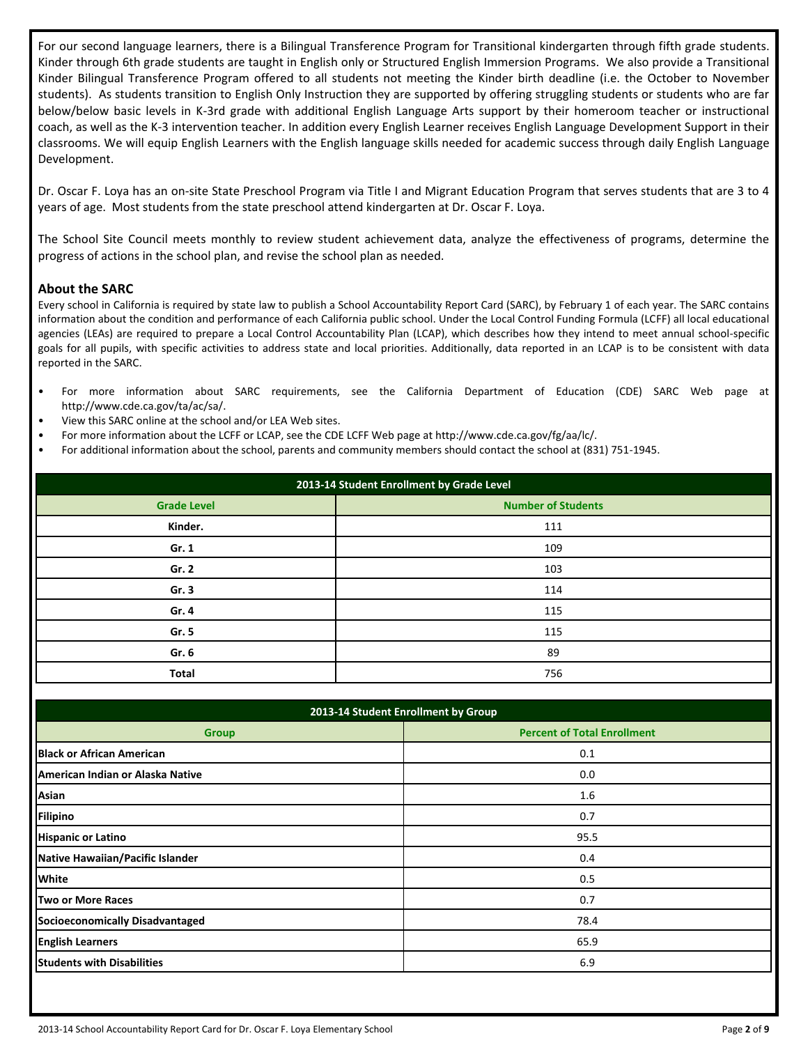For our second language learners, there is a Bilingual Transference Program for Transitional kindergarten through fifth grade students. Kinder through 6th grade students are taught in English only or Structured English Immersion Programs. We also provide a Transitional Kinder Bilingual Transference Program offered to all students not meeting the Kinder birth deadline (i.e. the October to November students). As students transition to English Only Instruction they are supported by offering struggling students or students who are far below/below basic levels in K-3rd grade with additional English Language Arts support by their homeroom teacher or instructional coach, as well as the K-3 intervention teacher. In addition every English Learner receives English Language Development Support in their classrooms. We will equip English Learners with the English language skills needed for academic success through daily English Language Development.

Dr. Oscar F. Loya has an on-site State Preschool Program via Title I and Migrant Education Program that serves students that are 3 to 4 years of age. Most students from the state preschool attend kindergarten at Dr. Oscar F. Loya.

The School Site Council meets monthly to review student achievement data, analyze the effectiveness of programs, determine the progress of actions in the school plan, and revise the school plan as needed.

### **About the SARC**

Every school in California is required by state law to publish a School Accountability Report Card (SARC), by February 1 of each year. The SARC contains information about the condition and performance of each California public school. Under the Local Control Funding Formula (LCFF) all local educational agencies (LEAs) are required to prepare a Local Control Accountability Plan (LCAP), which describes how they intend to meet annual school-specific goals for all pupils, with specific activities to address state and local priorities. Additionally, data reported in an LCAP is to be consistent with data reported in the SARC.

- For more information about SARC requirements, see the California Department of Education (CDE) SARC Web page at http://www.cde.ca.gov/ta/ac/sa/.
- View this SARC online at the school and/or LEA Web sites.
- For more information about the LCFF or LCAP, see the CDE LCFF Web page at http://www.cde.ca.gov/fg/aa/lc/.
- For additional information about the school, parents and community members should contact the school at (831) 751-1945.

| 2013-14 Student Enrollment by Grade Level |                           |  |  |  |  |
|-------------------------------------------|---------------------------|--|--|--|--|
| <b>Grade Level</b>                        | <b>Number of Students</b> |  |  |  |  |
| Kinder.                                   | 111                       |  |  |  |  |
| Gr. 1                                     | 109                       |  |  |  |  |
| Gr. 2                                     | 103                       |  |  |  |  |
| Gr. 3                                     | 114                       |  |  |  |  |
| Gr. 4                                     | 115                       |  |  |  |  |
| Gr. 5                                     | 115                       |  |  |  |  |
| Gr. 6                                     | 89                        |  |  |  |  |
| <b>Total</b>                              | 756                       |  |  |  |  |

| 2013-14 Student Enrollment by Group |                                    |  |  |  |  |
|-------------------------------------|------------------------------------|--|--|--|--|
| <b>Group</b>                        | <b>Percent of Total Enrollment</b> |  |  |  |  |
| <b>Black or African American</b>    | 0.1                                |  |  |  |  |
| American Indian or Alaska Native    | 0.0                                |  |  |  |  |
| Asian                               | 1.6                                |  |  |  |  |
| <b>Filipino</b>                     | 0.7                                |  |  |  |  |
| <b>Hispanic or Latino</b>           | 95.5                               |  |  |  |  |
| Native Hawaiian/Pacific Islander    | 0.4                                |  |  |  |  |
| White                               | 0.5                                |  |  |  |  |
| <b>Two or More Races</b>            | 0.7                                |  |  |  |  |
| Socioeconomically Disadvantaged     | 78.4                               |  |  |  |  |
| <b>English Learners</b>             | 65.9                               |  |  |  |  |
| <b>Students with Disabilities</b>   | 6.9                                |  |  |  |  |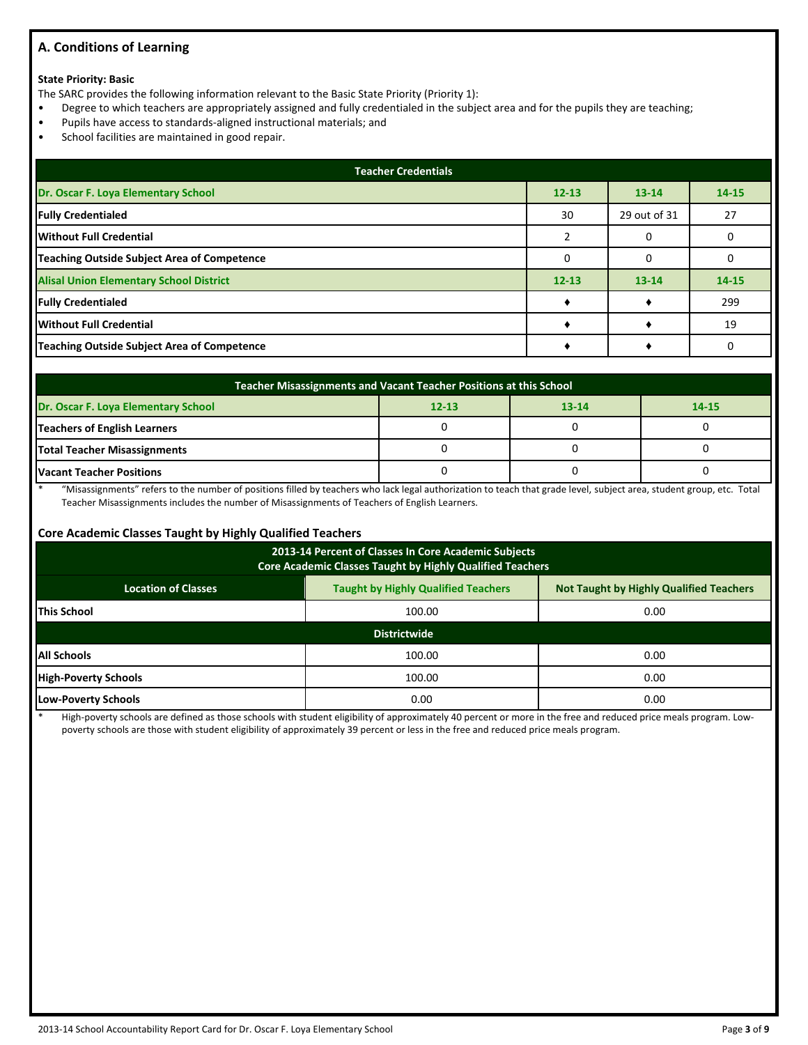# **A. Conditions of Learning**

### **State Priority: Basic**

The SARC provides the following information relevant to the Basic State Priority (Priority 1):

- Degree to which teachers are appropriately assigned and fully credentialed in the subject area and for the pupils they are teaching;
- Pupils have access to standards-aligned instructional materials; and
- School facilities are maintained in good repair.

| <b>Teacher Credentials</b>                         |           |              |           |  |  |  |  |
|----------------------------------------------------|-----------|--------------|-----------|--|--|--|--|
| Dr. Oscar F. Loya Elementary School                | $12 - 13$ | $13 - 14$    | $14 - 15$ |  |  |  |  |
| <b>Fully Credentialed</b>                          | 30        | 29 out of 31 | 27        |  |  |  |  |
| Without Full Credential                            |           |              |           |  |  |  |  |
| <b>Teaching Outside Subject Area of Competence</b> |           |              |           |  |  |  |  |
| <b>Alisal Union Elementary School District</b>     | $12 - 13$ | $13 - 14$    | $14 - 15$ |  |  |  |  |
| <b>Fully Credentialed</b>                          |           |              | 299       |  |  |  |  |
| Without Full Credential                            |           |              | 19        |  |  |  |  |
| <b>Teaching Outside Subject Area of Competence</b> |           |              |           |  |  |  |  |

| Teacher Misassignments and Vacant Teacher Positions at this School         |  |  |  |  |  |  |  |
|----------------------------------------------------------------------------|--|--|--|--|--|--|--|
| Dr. Oscar F. Loya Elementary School<br>$12 - 13$<br>$13 - 14$<br>$14 - 15$ |  |  |  |  |  |  |  |
| Teachers of English Learners                                               |  |  |  |  |  |  |  |
| Total Teacher Misassignments                                               |  |  |  |  |  |  |  |
| <b>Vacant Teacher Positions</b>                                            |  |  |  |  |  |  |  |

\* "Misassignments" refers to the number of positions filled by teachers who lack legal authorization to teach that grade level, subject area, student group, etc. Total Teacher Misassignments includes the number of Misassignments of Teachers of English Learners.

### **Core Academic Classes Taught by Highly Qualified Teachers**

| 2013-14 Percent of Classes In Core Academic Subjects<br>Core Academic Classes Taught by Highly Qualified Teachers          |                     |      |  |  |  |  |  |
|----------------------------------------------------------------------------------------------------------------------------|---------------------|------|--|--|--|--|--|
| <b>Taught by Highly Qualified Teachers</b><br><b>Not Taught by Highly Qualified Teachers</b><br><b>Location of Classes</b> |                     |      |  |  |  |  |  |
| <b>This School</b>                                                                                                         | 100.00              | 0.00 |  |  |  |  |  |
|                                                                                                                            | <b>Districtwide</b> |      |  |  |  |  |  |
| <b>All Schools</b>                                                                                                         | 100.00              | 0.00 |  |  |  |  |  |
| <b>High-Poverty Schools</b>                                                                                                | 100.00              | 0.00 |  |  |  |  |  |
| Low-Poverty Schools<br>0.00<br>0.00                                                                                        |                     |      |  |  |  |  |  |

High-poverty schools are defined as those schools with student eligibility of approximately 40 percent or more in the free and reduced price meals program. Lowpoverty schools are those with student eligibility of approximately 39 percent or less in the free and reduced price meals program.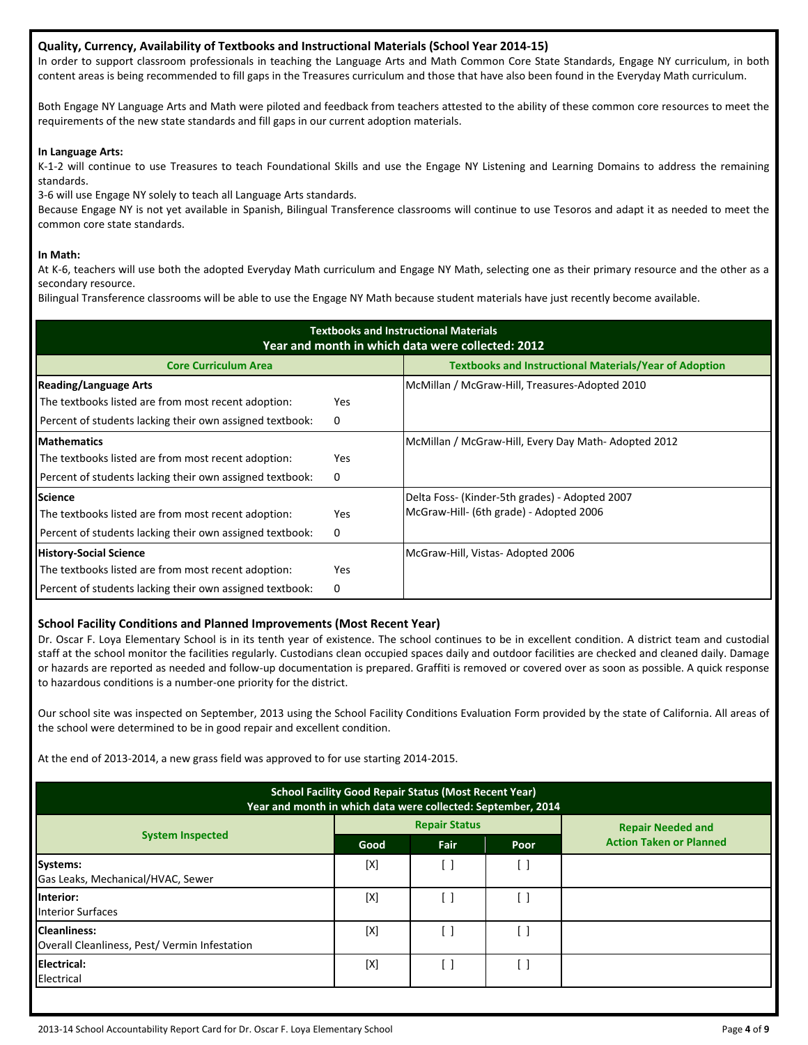### **Quality, Currency, Availability of Textbooks and Instructional Materials (School Year 2014-15)**

In order to support classroom professionals in teaching the Language Arts and Math Common Core State Standards, Engage NY curriculum, in both content areas is being recommended to fill gaps in the Treasures curriculum and those that have also been found in the Everyday Math curriculum.

Both Engage NY Language Arts and Math were piloted and feedback from teachers attested to the ability of these common core resources to meet the requirements of the new state standards and fill gaps in our current adoption materials.

### **In Language Arts:**

K-1-2 will continue to use Treasures to teach Foundational Skills and use the Engage NY Listening and Learning Domains to address the remaining standards.

3-6 will use Engage NY solely to teach all Language Arts standards.

Because Engage NY is not yet available in Spanish, Bilingual Transference classrooms will continue to use Tesoros and adapt it as needed to meet the common core state standards.

### **In Math:**

At K-6, teachers will use both the adopted Everyday Math curriculum and Engage NY Math, selecting one as their primary resource and the other as a secondary resource.

Bilingual Transference classrooms will be able to use the Engage NY Math because student materials have just recently become available.

| <b>Textbooks and Instructional Materials</b><br>Year and month in which data were collected: 2012 |            |                                                               |  |  |  |  |  |
|---------------------------------------------------------------------------------------------------|------------|---------------------------------------------------------------|--|--|--|--|--|
| <b>Core Curriculum Area</b>                                                                       |            | <b>Textbooks and Instructional Materials/Year of Adoption</b> |  |  |  |  |  |
| <b>Reading/Language Arts</b>                                                                      |            | McMillan / McGraw-Hill, Treasures-Adopted 2010                |  |  |  |  |  |
| The textbooks listed are from most recent adoption:                                               | <b>Yes</b> |                                                               |  |  |  |  |  |
| Percent of students lacking their own assigned textbook:                                          | 0          |                                                               |  |  |  |  |  |
| <b>Mathematics</b>                                                                                |            | McMillan / McGraw-Hill, Every Day Math-Adopted 2012           |  |  |  |  |  |
| The textbooks listed are from most recent adoption:                                               | Yes        |                                                               |  |  |  |  |  |
| Percent of students lacking their own assigned textbook:                                          | 0          |                                                               |  |  |  |  |  |
| <b>Science</b>                                                                                    |            | Delta Foss- (Kinder-5th grades) - Adopted 2007                |  |  |  |  |  |
| The textbooks listed are from most recent adoption:                                               | Yes        | McGraw-Hill- (6th grade) - Adopted 2006                       |  |  |  |  |  |
| Percent of students lacking their own assigned textbook:                                          | 0          |                                                               |  |  |  |  |  |
| <b>History-Social Science</b>                                                                     |            | McGraw-Hill, Vistas- Adopted 2006                             |  |  |  |  |  |
| The textbooks listed are from most recent adoption:                                               | Yes        |                                                               |  |  |  |  |  |
| Percent of students lacking their own assigned textbook:                                          | 0          |                                                               |  |  |  |  |  |

### **School Facility Conditions and Planned Improvements (Most Recent Year)**

Dr. Oscar F. Loya Elementary School is in its tenth year of existence. The school continues to be in excellent condition. A district team and custodial staff at the school monitor the facilities regularly. Custodians clean occupied spaces daily and outdoor facilities are checked and cleaned daily. Damage or hazards are reported as needed and follow-up documentation is prepared. Graffiti is removed or covered over as soon as possible. A quick response to hazardous conditions is a number-one priority for the district.

Our school site was inspected on September, 2013 using the School Facility Conditions Evaluation Form provided by the state of California. All areas of the school were determined to be in good repair and excellent condition.

At the end of 2013-2014, a new grass field was approved to for use starting 2014-2015.

| <b>School Facility Good Repair Status (Most Recent Year)</b><br>Year and month in which data were collected: September, 2014 |             |                      |      |                                |  |  |
|------------------------------------------------------------------------------------------------------------------------------|-------------|----------------------|------|--------------------------------|--|--|
|                                                                                                                              |             | <b>Repair Status</b> |      | <b>Repair Needed and</b>       |  |  |
| <b>System Inspected</b>                                                                                                      | Good        | Fair                 | Poor | <b>Action Taken or Planned</b> |  |  |
| <b>Systems:</b><br>Gas Leaks, Mechanical/HVAC, Sewer                                                                         | $[{\sf X}]$ | - 1                  | [ ]  |                                |  |  |
| Interior:<br><b>Interior Surfaces</b>                                                                                        | [X]         | -1                   | ſ 1  |                                |  |  |
| <b>Cleanliness:</b><br>Overall Cleanliness, Pest/ Vermin Infestation                                                         | [X]         |                      | [ ]  |                                |  |  |
| Electrical:<br>Electrical                                                                                                    | [X]         |                      | ׀ ַ  |                                |  |  |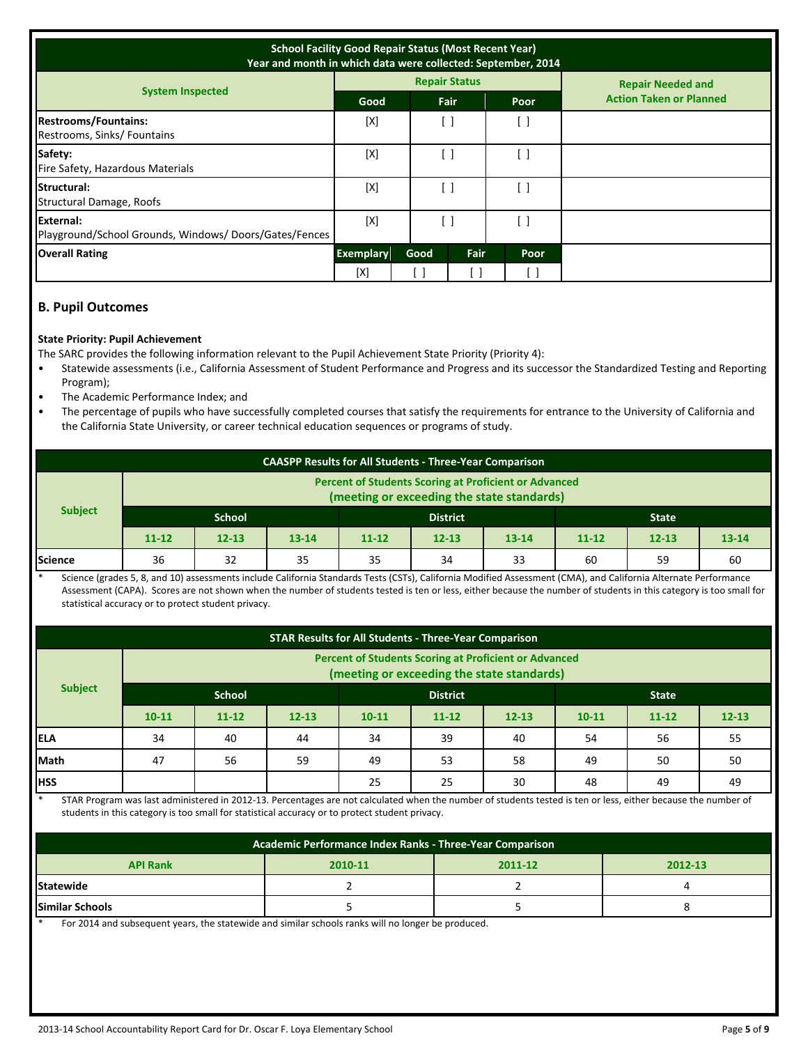| <b>School Facility Good Repair Status (Most Recent Year)</b><br>Year and month in which data were collected: September, 2014 |                  |      |                      |                                               |                                |  |
|------------------------------------------------------------------------------------------------------------------------------|------------------|------|----------------------|-----------------------------------------------|--------------------------------|--|
|                                                                                                                              |                  |      | <b>Repair Status</b> |                                               | <b>Repair Needed and</b>       |  |
| <b>System Inspected</b>                                                                                                      | <b>Good</b>      |      | Fair                 | Poor                                          | <b>Action Taken or Planned</b> |  |
| <b>Restrooms/Fountains:</b><br>Restrooms, Sinks/Fountains                                                                    | [X]              | [ ]  |                      | $\left[ \begin{array}{c} \end{array} \right]$ |                                |  |
| Safety:<br>Fire Safety, Hazardous Materials                                                                                  | [X]              | ſ 1  |                      | [ ]                                           |                                |  |
| Structural:<br>Structural Damage, Roofs                                                                                      | [X]              | i 1  |                      | $\begin{bmatrix} \end{bmatrix}$               |                                |  |
| External:<br>Playground/School Grounds, Windows/Doors/Gates/Fences                                                           | [X]              |      |                      | $\begin{bmatrix} \end{bmatrix}$               |                                |  |
| <b>Overall Rating</b>                                                                                                        | <b>Exemplary</b> | Good | Fair                 | Poor                                          |                                |  |
|                                                                                                                              | [X]              |      |                      |                                               |                                |  |

# **B. Pupil Outcomes**

### **State Priority: Pupil Achievement**

The SARC provides the following information relevant to the Pupil Achievement State Priority (Priority 4):

- Statewide assessments (i.e., California Assessment of Student Performance and Progress and its successor the Standardized Testing and Reporting Program);
- The Academic Performance Index; and
- The percentage of pupils who have successfully completed courses that satisfy the requirements for entrance to the University of California and the California State University, or career technical education sequences or programs of study.

| <b>CAASPP Results for All Students - Three-Year Comparison</b>                                             |               |           |           |                 |           |           |              |           |           |
|------------------------------------------------------------------------------------------------------------|---------------|-----------|-----------|-----------------|-----------|-----------|--------------|-----------|-----------|
| <b>Percent of Students Scoring at Proficient or Advanced</b><br>(meeting or exceeding the state standards) |               |           |           |                 |           |           |              |           |           |
| <b>Subject</b>                                                                                             | <b>School</b> |           |           | <b>District</b> |           |           | <b>State</b> |           |           |
|                                                                                                            | $11 - 12$     | $12 - 13$ | $13 - 14$ | $11 - 12$       | $12 - 13$ | $13 - 14$ | $11 - 12$    | $12 - 13$ | $13 - 14$ |
| Science                                                                                                    | 36            | 32        | 35        | 35              | 34        | 33        | 60           | 59        | 60        |

Science (grades 5, 8, and 10) assessments include California Standards Tests (CSTs), California Modified Assessment (CMA), and California Alternate Performance Assessment (CAPA). Scores are not shown when the number of students tested is ten or less, either because the number of students in this category is too small for statistical accuracy or to protect student privacy.

| <b>STAR Results for All Students - Three-Year Comparison</b> |                                                                                                            |           |           |           |           |              |           |           |           |
|--------------------------------------------------------------|------------------------------------------------------------------------------------------------------------|-----------|-----------|-----------|-----------|--------------|-----------|-----------|-----------|
|                                                              | <b>Percent of Students Scoring at Proficient or Advanced</b><br>(meeting or exceeding the state standards) |           |           |           |           |              |           |           |           |
| <b>Subject</b>                                               | <b>School</b><br><b>District</b>                                                                           |           |           |           |           | <b>State</b> |           |           |           |
|                                                              | $10 - 11$                                                                                                  | $11 - 12$ | $12 - 13$ | $10 - 11$ | $11 - 12$ | $12 - 13$    | $10 - 11$ | $11 - 12$ | $12 - 13$ |
| <b>IELA</b>                                                  | 34                                                                                                         | 40        | 44        | 34        | 39        | 40           | 54        | 56        | 55        |
| Math                                                         | 47                                                                                                         | 56        | 59        | 49        | 53        | 58           | 49        | 50        | 50        |
| <b>HSS</b>                                                   |                                                                                                            |           |           | 25        | 25        | 30           | 48        | 49        | 49        |

STAR Program was last administered in 2012-13. Percentages are not calculated when the number of students tested is ten or less, either because the number of students in this category is too small for statistical accuracy or to protect student privacy.

| Academic Performance Index Ranks - Three-Year Comparison |         |         |         |  |  |  |  |
|----------------------------------------------------------|---------|---------|---------|--|--|--|--|
| <b>API Rank</b>                                          | 2010-11 | 2011-12 | 2012-13 |  |  |  |  |
| <b>Statewide</b>                                         |         |         |         |  |  |  |  |
| <b>Similar Schools</b>                                   |         |         |         |  |  |  |  |

For 2014 and subsequent years, the statewide and similar schools ranks will no longer be produced.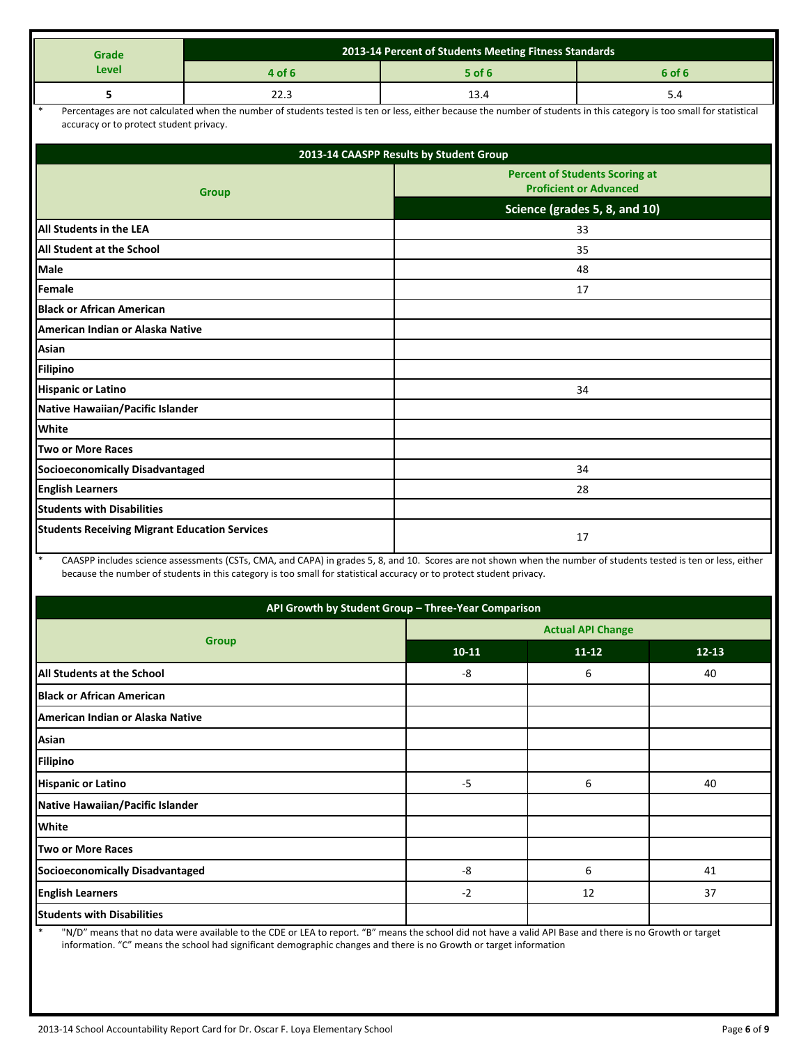| Grade                                                | 2013-14 Percent of Students Meeting Fitness Standards                                                                                                                 |                                         |                                                                        |  |  |  |
|------------------------------------------------------|-----------------------------------------------------------------------------------------------------------------------------------------------------------------------|-----------------------------------------|------------------------------------------------------------------------|--|--|--|
| Level                                                | 4 of 6                                                                                                                                                                | $5$ of 6                                | 6 of 6                                                                 |  |  |  |
| 5                                                    | 22.3                                                                                                                                                                  | 13.4                                    | 5.4                                                                    |  |  |  |
| $\ast$<br>accuracy or to protect student privacy.    | Percentages are not calculated when the number of students tested is ten or less, either because the number of students in this category is too small for statistical |                                         |                                                                        |  |  |  |
|                                                      |                                                                                                                                                                       | 2013-14 CAASPP Results by Student Group |                                                                        |  |  |  |
|                                                      | <b>Group</b>                                                                                                                                                          |                                         | <b>Percent of Students Scoring at</b><br><b>Proficient or Advanced</b> |  |  |  |
|                                                      |                                                                                                                                                                       |                                         | Science (grades 5, 8, and 10)                                          |  |  |  |
| All Students in the LEA                              |                                                                                                                                                                       |                                         | 33                                                                     |  |  |  |
| <b>All Student at the School</b>                     |                                                                                                                                                                       |                                         | 35                                                                     |  |  |  |
| Male                                                 |                                                                                                                                                                       | 48                                      |                                                                        |  |  |  |
| Female                                               |                                                                                                                                                                       | 17                                      |                                                                        |  |  |  |
| <b>Black or African American</b>                     |                                                                                                                                                                       |                                         |                                                                        |  |  |  |
| American Indian or Alaska Native                     |                                                                                                                                                                       |                                         |                                                                        |  |  |  |
| Asian                                                |                                                                                                                                                                       |                                         |                                                                        |  |  |  |
| <b>Filipino</b>                                      |                                                                                                                                                                       |                                         |                                                                        |  |  |  |
| <b>Hispanic or Latino</b>                            |                                                                                                                                                                       | 34                                      |                                                                        |  |  |  |
| Native Hawaiian/Pacific Islander                     |                                                                                                                                                                       |                                         |                                                                        |  |  |  |
| White                                                |                                                                                                                                                                       |                                         |                                                                        |  |  |  |
| <b>Two or More Races</b>                             |                                                                                                                                                                       |                                         |                                                                        |  |  |  |
| <b>Socioeconomically Disadvantaged</b>               |                                                                                                                                                                       | 34                                      |                                                                        |  |  |  |
| <b>English Learners</b>                              |                                                                                                                                                                       |                                         | 28                                                                     |  |  |  |
| <b>Students with Disabilities</b>                    |                                                                                                                                                                       |                                         |                                                                        |  |  |  |
| <b>Students Receiving Migrant Education Services</b> | CAASDD includes science associants (CSTs, CMA, and CADA) in grades E, 8, and 10. Scenes are not shown when the number of students tested is top or loss, either       |                                         | 17                                                                     |  |  |  |

SPP includes science assessments (CSTs, CMA, and CAPA) in grades 5, 8, and 10. Scores are not shown when the number of students tested is ten or less, either because the number of students in this category is too small for statistical accuracy or to protect student privacy.

| API Growth by Student Group - Three-Year Comparison |                          |           |           |  |  |
|-----------------------------------------------------|--------------------------|-----------|-----------|--|--|
|                                                     | <b>Actual API Change</b> |           |           |  |  |
| <b>Group</b>                                        | $10 - 11$                | $11 - 12$ | $12 - 13$ |  |  |
| <b>All Students at the School</b>                   | -8                       | 6         | 40        |  |  |
| <b>Black or African American</b>                    |                          |           |           |  |  |
| American Indian or Alaska Native                    |                          |           |           |  |  |
| Asian                                               |                          |           |           |  |  |
| <b>Filipino</b>                                     |                          |           |           |  |  |
| <b>Hispanic or Latino</b>                           | $-5$                     | 6         | 40        |  |  |
| Native Hawaiian/Pacific Islander                    |                          |           |           |  |  |
| <b>White</b>                                        |                          |           |           |  |  |
| Two or More Races                                   |                          |           |           |  |  |
| Socioeconomically Disadvantaged                     | -8                       | 6         | 41        |  |  |
| <b>English Learners</b>                             | $-2$                     | 12        | 37        |  |  |
| <b>Students with Disabilities</b>                   |                          |           |           |  |  |

\* "N/D" means that no data were available to the CDE or LEA to report. "B" means the school did not have a valid API Base and there is no Growth or target information. "C" means the school had significant demographic changes and there is no Growth or target information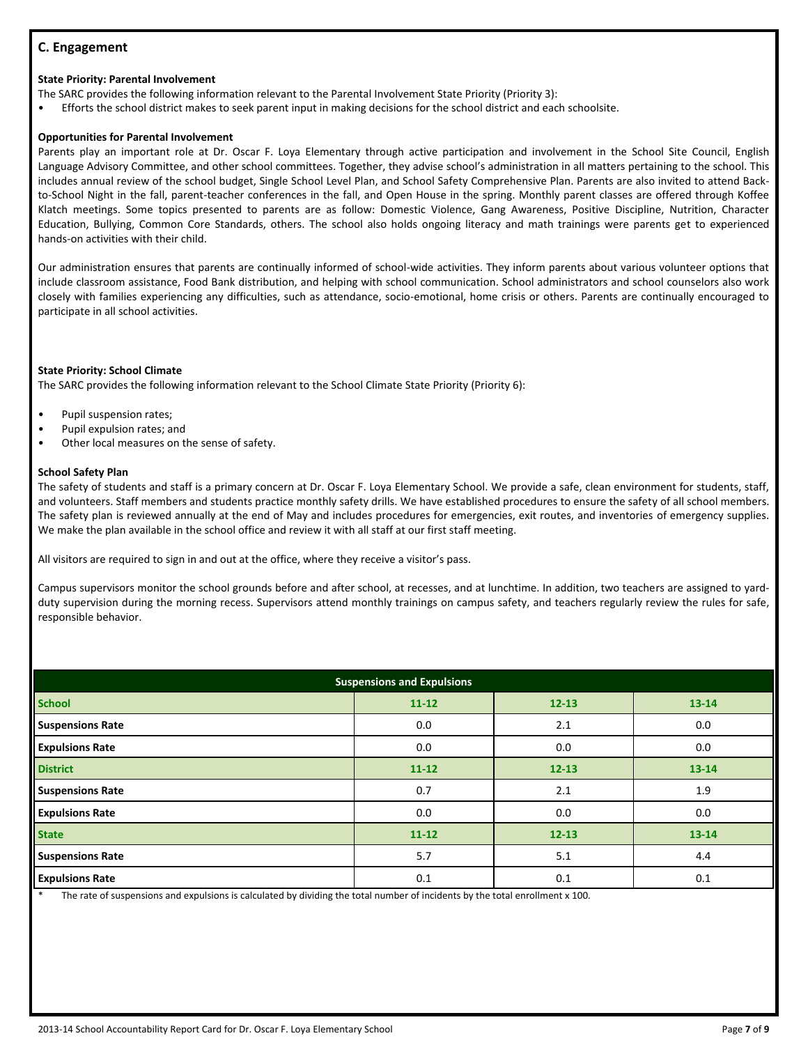# **C. Engagement**

#### **State Priority: Parental Involvement**

The SARC provides the following information relevant to the Parental Involvement State Priority (Priority 3):

• Efforts the school district makes to seek parent input in making decisions for the school district and each schoolsite.

#### **Opportunities for Parental Involvement**

Parents play an important role at Dr. Oscar F. Loya Elementary through active participation and involvement in the School Site Council, English Language Advisory Committee, and other school committees. Together, they advise school's administration in all matters pertaining to the school. This includes annual review of the school budget, Single School Level Plan, and School Safety Comprehensive Plan. Parents are also invited to attend Backto-School Night in the fall, parent-teacher conferences in the fall, and Open House in the spring. Monthly parent classes are offered through Koffee Klatch meetings. Some topics presented to parents are as follow: Domestic Violence, Gang Awareness, Positive Discipline, Nutrition, Character Education, Bullying, Common Core Standards, others. The school also holds ongoing literacy and math trainings were parents get to experienced hands-on activities with their child.

Our administration ensures that parents are continually informed of school-wide activities. They inform parents about various volunteer options that include classroom assistance, Food Bank distribution, and helping with school communication. School administrators and school counselors also work closely with families experiencing any difficulties, such as attendance, socio-emotional, home crisis or others. Parents are continually encouraged to participate in all school activities.

#### **State Priority: School Climate**

The SARC provides the following information relevant to the School Climate State Priority (Priority 6):

- Pupil suspension rates;
- Pupil expulsion rates; and
- Other local measures on the sense of safety.

#### **School Safety Plan**

The safety of students and staff is a primary concern at Dr. Oscar F. Loya Elementary School. We provide a safe, clean environment for students, staff, and volunteers. Staff members and students practice monthly safety drills. We have established procedures to ensure the safety of all school members. The safety plan is reviewed annually at the end of May and includes procedures for emergencies, exit routes, and inventories of emergency supplies. We make the plan available in the school office and review it with all staff at our first staff meeting.

All visitors are required to sign in and out at the office, where they receive a visitor's pass.

Campus supervisors monitor the school grounds before and after school, at recesses, and at lunchtime. In addition, two teachers are assigned to yardduty supervision during the morning recess. Supervisors attend monthly trainings on campus safety, and teachers regularly review the rules for safe, responsible behavior.

| <b>Suspensions and Expulsions</b> |           |           |           |  |  |
|-----------------------------------|-----------|-----------|-----------|--|--|
| <b>School</b>                     | $11 - 12$ | $12 - 13$ | $13 - 14$ |  |  |
| <b>Suspensions Rate</b>           | 0.0       | 2.1       | 0.0       |  |  |
| <b>Expulsions Rate</b>            | 0.0       | 0.0       | 0.0       |  |  |
| <b>District</b>                   | $11 - 12$ | $12 - 13$ | 13-14     |  |  |
| <b>Suspensions Rate</b>           | 0.7       | 2.1       | 1.9       |  |  |
| <b>Expulsions Rate</b>            | 0.0       | 0.0       | 0.0       |  |  |
| <b>State</b>                      | $11 - 12$ | $12 - 13$ | $13 - 14$ |  |  |
| <b>Suspensions Rate</b>           | 5.7       | 5.1       | 4.4       |  |  |
| <b>Expulsions Rate</b>            | 0.1       | 0.1       | 0.1       |  |  |

The rate of suspensions and expulsions is calculated by dividing the total number of incidents by the total enrollment x 100.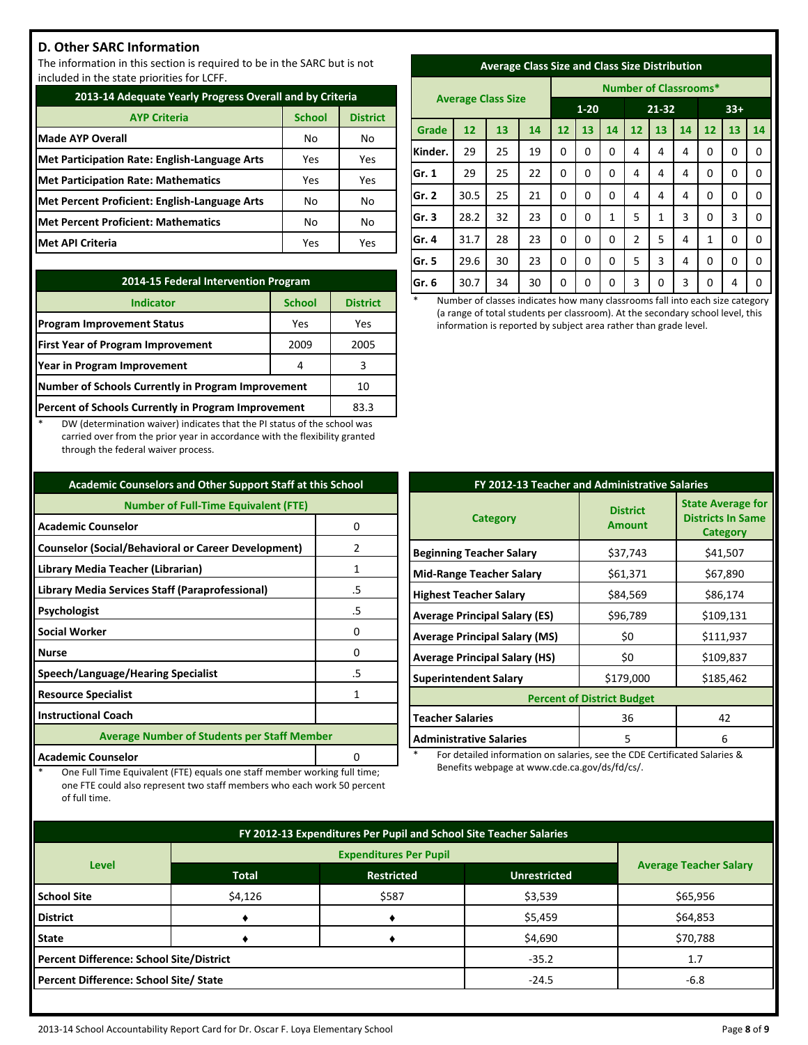# **D. Other SARC Information**

The information in this section is required to be in the SARC but is not included in the state priorities for LCFF.

| 2013-14 Adequate Yearly Progress Overall and by Criteria |               |                 |  |  |
|----------------------------------------------------------|---------------|-----------------|--|--|
| <b>AYP Criteria</b>                                      | <b>School</b> | <b>District</b> |  |  |
| <b>Made AYP Overall</b>                                  | No            | No              |  |  |
| <b>Met Participation Rate: English-Language Arts</b>     | Yes           | Yes             |  |  |
| <b>Met Participation Rate: Mathematics</b>               | Yes           | Yes             |  |  |
| Met Percent Proficient: English-Language Arts            | No            | No              |  |  |
| <b>Met Percent Proficient: Mathematics</b>               | No            | No              |  |  |
| <b>Met API Criteria</b>                                  | Yes           | Yes             |  |  |

| 2014-15 Federal Intervention Program                |                 |  |  |  |
|-----------------------------------------------------|-----------------|--|--|--|
| <b>Indicator</b>                                    | <b>District</b> |  |  |  |
| <b>Program Improvement Status</b>                   | Yes             |  |  |  |
| <b>First Year of Program Improvement</b>            | 2005            |  |  |  |
| Year in Program Improvement                         | 3               |  |  |  |
| Number of Schools Currently in Program Improvement  | 10              |  |  |  |
| Percent of Schools Currently in Program Improvement | 83.3            |  |  |  |

DW (determination waiver) indicates that the PI status of the school was carried over from the prior year in accordance with the flexibility granted through the federal waiver process.

| <b>Academic Counselors and Other Support Staff at this School</b> |    |  |  |  |
|-------------------------------------------------------------------|----|--|--|--|
| <b>Number of Full-Time Equivalent (FTE)</b>                       |    |  |  |  |
| <b>Academic Counselor</b>                                         | 0  |  |  |  |
| <b>Counselor (Social/Behavioral or Career Development)</b>        | 2  |  |  |  |
| Library Media Teacher (Librarian)<br>1                            |    |  |  |  |
| Library Media Services Staff (Paraprofessional)<br>.5             |    |  |  |  |
| Psychologist                                                      | .5 |  |  |  |
| <b>Social Worker</b>                                              | 0  |  |  |  |
| <b>Nurse</b>                                                      | n  |  |  |  |
| Speech/Language/Hearing Specialist<br>.5                          |    |  |  |  |
| <b>Resource Specialist</b><br>1                                   |    |  |  |  |
| <b>Instructional Coach</b>                                        |    |  |  |  |
| <b>Average Number of Students per Staff Member</b>                |    |  |  |  |
| <b>Academic Counselor</b>                                         |    |  |  |  |

One Full Time Equivalent (FTE) equals one staff member working full time; one FTE could also represent two staff members who each work 50 percent

of full time.

| <b>Average Class Size and Class Size Distribution</b> |  |
|-------------------------------------------------------|--|
|                                                       |  |

|         |                           |    |    | <b>Number of Classrooms*</b> |          |       |                |    |       |          |    |             |
|---------|---------------------------|----|----|------------------------------|----------|-------|----------------|----|-------|----------|----|-------------|
|         | <b>Average Class Size</b> |    |    | $1 - 20$                     |          | 21-32 |                |    | $33+$ |          |    |             |
| Grade   | 12                        | 13 | 14 | 12                           | 13       | 14    | 12             | 13 | 14    | 12       | 13 | 14          |
| Kinder. | 29                        | 25 | 19 | 0                            | 0        | 0     | 4              | 4  | 4     | 0        | 0  | 0           |
| Gr. 1   | 29                        | 25 | 22 | 0                            | 0        | 0     | 4              | 4  | 4     | 0        | 0  | $\Omega$    |
| Gr. 2   | 30.5                      | 25 | 21 | 0                            | 0        | 0     | 4              | 4  | 4     | 0        | 0  | $\mathbf 0$ |
| Gr. 3   | 28.2                      | 32 | 23 | 0                            | $\Omega$ | 1     | 5              | 1  | 3     | $\Omega$ | 3  | $\Omega$    |
| Gr. 4   | 31.7                      | 28 | 23 | 0                            | 0        | 0     | $\overline{2}$ | 5  | 4     | 1        | 0  | 0           |
| Gr. 5   | 29.6                      | 30 | 23 | 0                            | 0        | 0     | 5              | 3  | 4     | 0        | 0  | 0           |
| Gr. 6   | 30.7                      | 34 | 30 | 0                            | 0        | 0     | 3              | 0  | 3     | 0        | 4  | 0           |

Number of classes indicates how many classrooms fall into each size category (a range of total students per classroom). At the secondary school level, this information is reported by subject area rather than grade level.

| FY 2012-13 Teacher and Administrative Salaries |                                  |                                                                         |  |  |  |
|------------------------------------------------|----------------------------------|-------------------------------------------------------------------------|--|--|--|
| <b>Category</b>                                | <b>District</b><br><b>Amount</b> | <b>State Average for</b><br><b>Districts In Same</b><br><b>Category</b> |  |  |  |
| <b>Beginning Teacher Salary</b>                | \$37,743                         | \$41,507                                                                |  |  |  |
| <b>Mid-Range Teacher Salary</b>                | \$61,371                         | \$67,890                                                                |  |  |  |
| <b>Highest Teacher Salary</b>                  | \$84,569                         | \$86,174                                                                |  |  |  |
| <b>Average Principal Salary (ES)</b>           | \$96,789                         | \$109,131                                                               |  |  |  |
| <b>Average Principal Salary (MS)</b>           | \$0                              | \$111,937                                                               |  |  |  |
| <b>Average Principal Salary (HS)</b>           | \$0                              | \$109,837                                                               |  |  |  |
| <b>Superintendent Salary</b>                   | \$179,000                        | \$185,462                                                               |  |  |  |
| <b>Percent of District Budget</b>              |                                  |                                                                         |  |  |  |
| <b>Teacher Salaries</b>                        | 36                               | 42                                                                      |  |  |  |
| <b>Administrative Salaries</b>                 | 5                                | 6                                                                       |  |  |  |

For detailed information on salaries, see the CDE Certificated Salaries & Benefits webpage at www.cde.ca.gov/ds/fd/cs/.

| FY 2012-13 Expenditures Per Pupil and School Site Teacher Salaries |              |                   |                     |                               |  |
|--------------------------------------------------------------------|--------------|-------------------|---------------------|-------------------------------|--|
|                                                                    |              |                   |                     |                               |  |
| <b>Level</b>                                                       | <b>Total</b> | <b>Restricted</b> | <b>Unrestricted</b> | <b>Average Teacher Salary</b> |  |
| <b>School Site</b>                                                 | \$4,126      | \$587             | \$3,539             | \$65,956                      |  |
| <b>District</b>                                                    |              |                   | \$5,459             | \$64,853                      |  |
| <b>State</b>                                                       |              |                   | \$4,690             | \$70,788                      |  |
| <b>Percent Difference: School Site/District</b>                    |              |                   | $-35.2$             | 1.7                           |  |
| Percent Difference: School Site/ State                             |              |                   | $-24.5$             | $-6.8$                        |  |